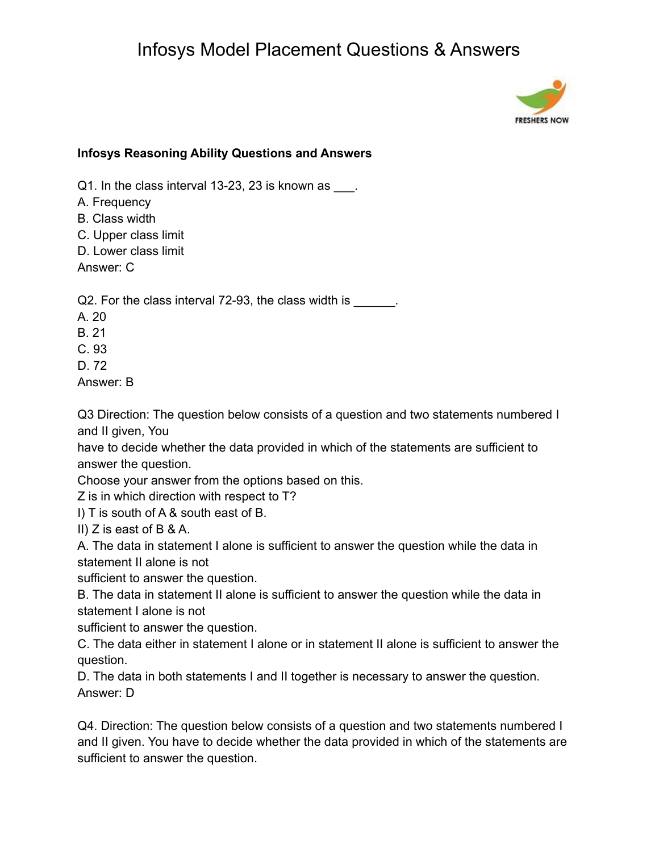

### **Infosys Reasoning Ability Questions and Answers**

Q1. In the class interval 13-23, 23 is known as \_\_\_.

- A. Frequency
- B. Class width
- C. Upper class limit
- D. Lower class limit

Answer: C

Q2. For the class interval 72-93, the class width is \_\_\_\_\_\_.

- A. 20
- B. 21
- C. 93
- D. 72

Answer: B

Q3 Direction: The question below consists of a question and two statements numbered I and II given, You

have to decide whether the data provided in which of the statements are sufficient to answer the question.

Choose your answer from the options based on this.

Z is in which direction with respect to T?

I) T is south of A & south east of B.

II) Z is east of B & A.

A. The data in statement I alone is sufficient to answer the question while the data in statement II alone is not

sufficient to answer the question.

B. The data in statement II alone is sufficient to answer the question while the data in statement I alone is not

sufficient to answer the question.

C. The data either in statement I alone or in statement II alone is sufficient to answer the question.

D. The data in both statements I and II together is necessary to answer the question. Answer: D

Q4. Direction: The question below consists of a question and two statements numbered I and II given. You have to decide whether the data provided in which of the statements are sufficient to answer the question.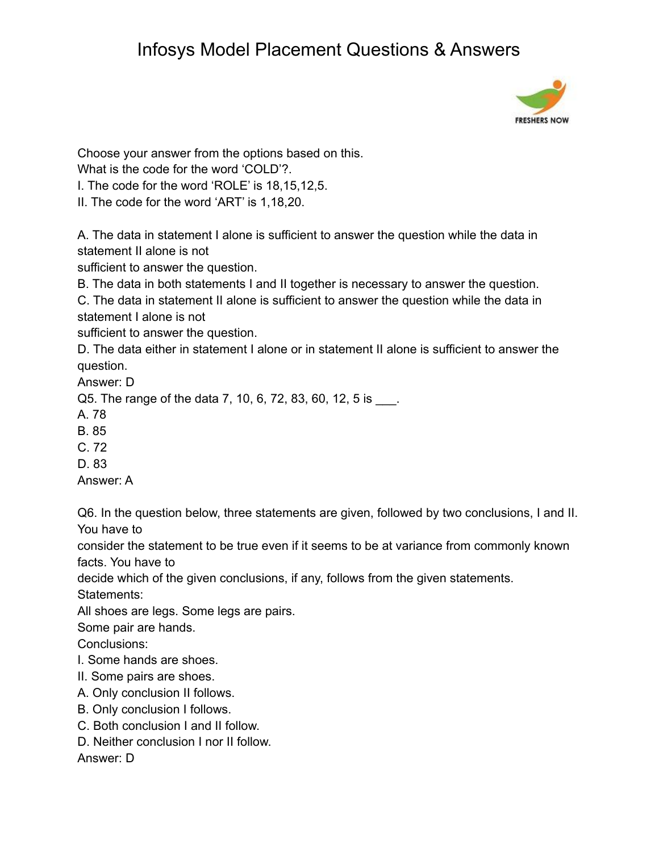

Choose your answer from the options based on this.

What is the code for the word 'COLD'?.

I. The code for the word 'ROLE' is 18,15,12,5.

II. The code for the word 'ART' is 1,18,20.

A. The data in statement I alone is sufficient to answer the question while the data in statement II alone is not

sufficient to answer the question.

B. The data in both statements I and II together is necessary to answer the question.

C. The data in statement II alone is sufficient to answer the question while the data in statement I alone is not

sufficient to answer the question.

D. The data either in statement I alone or in statement II alone is sufficient to answer the question.

Answer: D

Q5. The range of the data 7, 10, 6, 72, 83, 60, 12, 5 is \_\_\_.

A. 78

B. 85

C. 72

D. 83

Answer: A

Q6. In the question below, three statements are given, followed by two conclusions, I and II. You have to

consider the statement to be true even if it seems to be at variance from commonly known facts. You have to

decide which of the given conclusions, if any, follows from the given statements.

Statements:

All shoes are legs. Some legs are pairs.

Some pair are hands.

Conclusions:

- I. Some hands are shoes.
- II. Some pairs are shoes.
- A. Only conclusion II follows.
- B. Only conclusion I follows.
- C. Both conclusion I and II follow.
- D. Neither conclusion I nor II follow.

Answer: D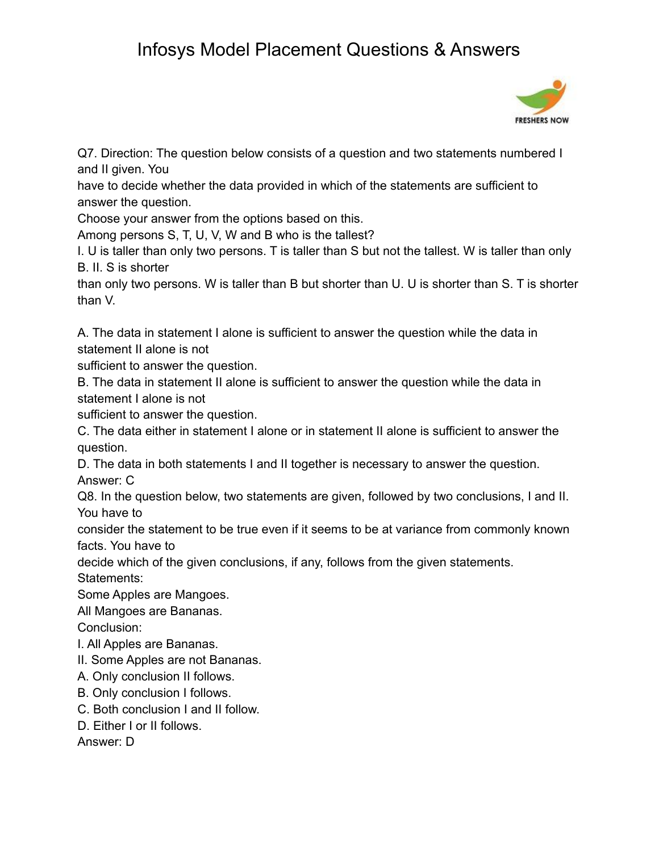

Q7. Direction: The question below consists of a question and two statements numbered I and II given. You

have to decide whether the data provided in which of the statements are sufficient to answer the question.

Choose your answer from the options based on this.

Among persons S, T, U, V, W and B who is the tallest?

I. U is taller than only two persons. T is taller than S but not the tallest. W is taller than only B. II. S is shorter

than only two persons. W is taller than B but shorter than U. U is shorter than S. T is shorter than V.

A. The data in statement I alone is sufficient to answer the question while the data in statement II alone is not

sufficient to answer the question.

B. The data in statement II alone is sufficient to answer the question while the data in statement I alone is not

sufficient to answer the question.

C. The data either in statement I alone or in statement II alone is sufficient to answer the question.

D. The data in both statements I and II together is necessary to answer the question. Answer: C

Q8. In the question below, two statements are given, followed by two conclusions, I and II. You have to

consider the statement to be true even if it seems to be at variance from commonly known facts. You have to

decide which of the given conclusions, if any, follows from the given statements.

Statements:

Some Apples are Mangoes.

All Mangoes are Bananas.

Conclusion:

I. All Apples are Bananas.

II. Some Apples are not Bananas.

A. Only conclusion II follows.

B. Only conclusion I follows.

C. Both conclusion I and II follow.

D. Either I or II follows.

Answer: D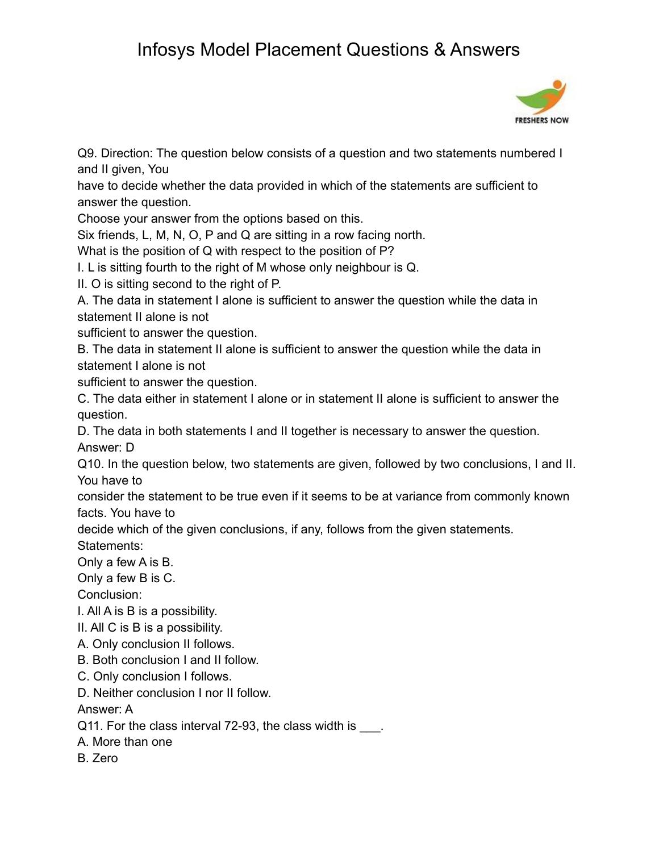

Q9. Direction: The question below consists of a question and two statements numbered I and II given, You

have to decide whether the data provided in which of the statements are sufficient to answer the question.

Choose your answer from the options based on this.

Six friends, L, M, N, O, P and Q are sitting in a row facing north.

What is the position of Q with respect to the position of P?

I. L is sitting fourth to the right of M whose only neighbour is Q.

II. O is sitting second to the right of P.

A. The data in statement I alone is sufficient to answer the question while the data in statement II alone is not

sufficient to answer the question.

B. The data in statement II alone is sufficient to answer the question while the data in statement I alone is not

sufficient to answer the question.

C. The data either in statement I alone or in statement II alone is sufficient to answer the question.

D. The data in both statements I and II together is necessary to answer the question. Answer: D

Q10. In the question below, two statements are given, followed by two conclusions, I and II. You have to

consider the statement to be true even if it seems to be at variance from commonly known facts. You have to

decide which of the given conclusions, if any, follows from the given statements.

Statements:

Only a few A is B.

Only a few B is C.

Conclusion:

I. All A is B is a possibility.

II. All C is B is a possibility.

A. Only conclusion II follows.

B. Both conclusion I and II follow.

C. Only conclusion I follows.

D. Neither conclusion I nor II follow.

Answer: A

Q11. For the class interval 72-93, the class width is \_\_\_\_.

A. More than one

B. Zero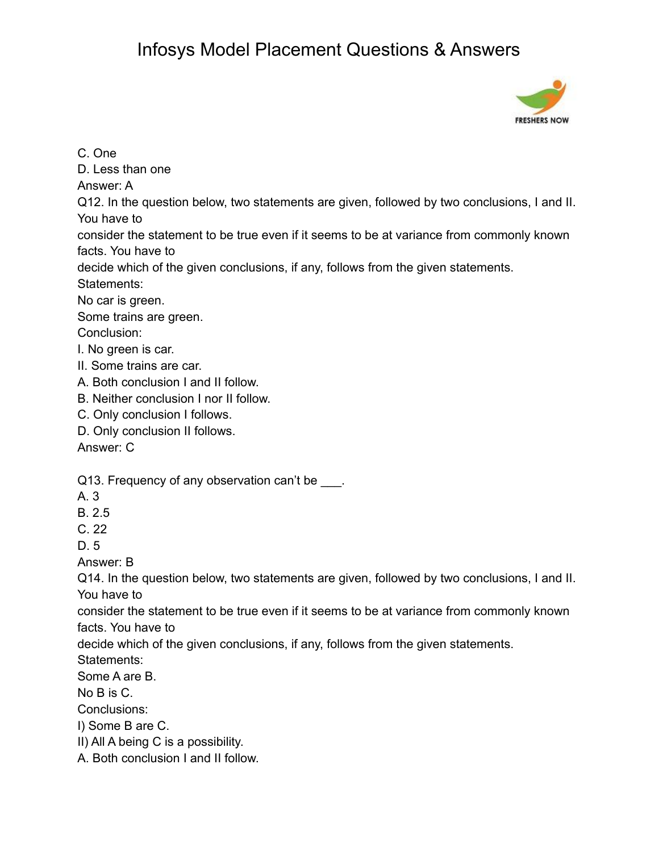

C. One

D. Less than one

Answer: A

Q12. In the question below, two statements are given, followed by two conclusions, I and II. You have to

consider the statement to be true even if it seems to be at variance from commonly known facts. You have to

decide which of the given conclusions, if any, follows from the given statements. Statements:

No car is green.

Some trains are green. Conclusion:

I. No green is car.

- II. Some trains are car.
- A. Both conclusion I and II follow.
- B. Neither conclusion I nor II follow.
- C. Only conclusion I follows.
- D. Only conclusion II follows.

Answer: C

Q13. Frequency of any observation can't be \_\_\_.

- A. 3
- B. 2.5
- $C.22$

D. 5

Answer: B

Q14. In the question below, two statements are given, followed by two conclusions, I and II. You have to

consider the statement to be true even if it seems to be at variance from commonly known facts. You have to

decide which of the given conclusions, if any, follows from the given statements.

Statements:

Some A are B.

No B is C.

Conclusions:

- I) Some B are C.
- II) All A being C is a possibility.

A. Both conclusion I and II follow.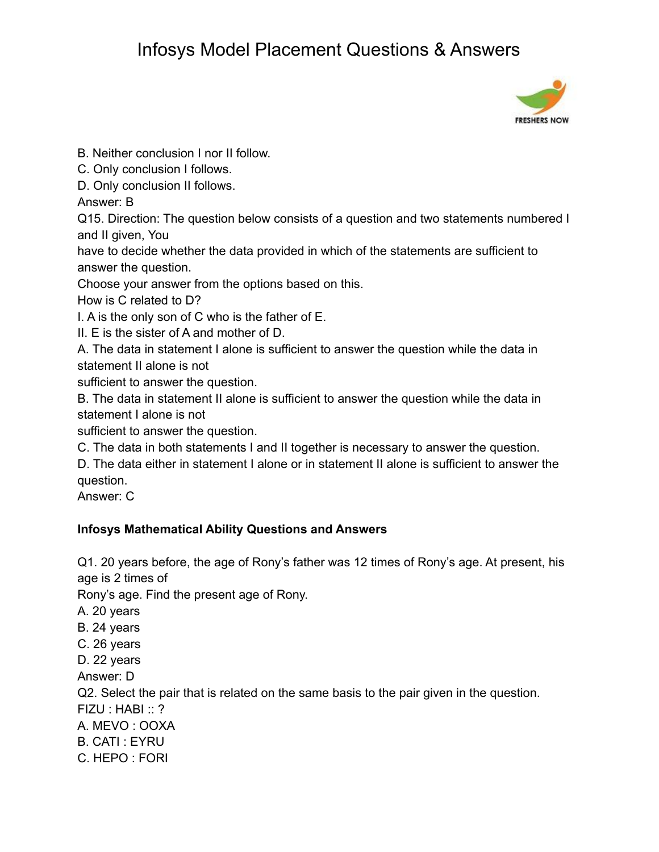

B. Neither conclusion I nor II follow.

C. Only conclusion I follows.

D. Only conclusion II follows.

Answer: B

Q15. Direction: The question below consists of a question and two statements numbered I and II given, You

have to decide whether the data provided in which of the statements are sufficient to answer the question.

Choose your answer from the options based on this.

How is C related to D?

I. A is the only son of C who is the father of E.

II. E is the sister of A and mother of D.

A. The data in statement I alone is sufficient to answer the question while the data in statement II alone is not

sufficient to answer the question.

B. The data in statement II alone is sufficient to answer the question while the data in statement I alone is not

sufficient to answer the question.

C. The data in both statements I and II together is necessary to answer the question.

D. The data either in statement I alone or in statement II alone is sufficient to answer the question.

Answer: C

### **Infosys Mathematical Ability Questions and Answers**

Q1. 20 years before, the age of Rony's father was 12 times of Rony's age. At present, his age is 2 times of

Rony's age. Find the present age of Rony.

- A. 20 years
- B. 24 years
- C. 26 years
- D. 22 years

Answer: D

Q2. Select the pair that is related on the same basis to the pair given in the question.

FIZU : HABI :: ?

- A. MEVO : OOXA
- B. CATI : EYRU
- C. HEPO : FORI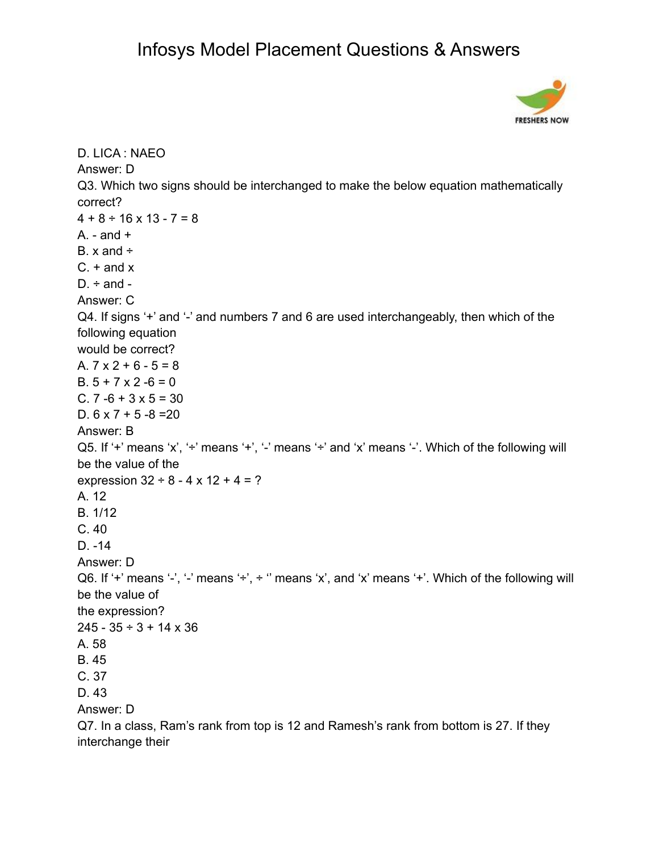

```
D. LICA : NAEO
Answer: D
Q3. Which two signs should be interchanged to make the below equation mathematically
correct?
4 + 8 \div 16 \times 13 - 7 = 8A. - and +B. x and ÷
C. + and xD. \div and -
Answer: C
Q4. If signs '+' and '-' and numbers 7 and 6 are used interchangeably, then which of the
following equation
would be correct?
A. 7 \times 2 + 6 - 5 = 8B. 5 + 7 \times 2 - 6 = 0C. 7 - 6 + 3 \times 5 = 30D. 6 \times 7 + 5 - 8 = 20Answer: B
Q5. If '+' means 'x', '+' means '+', '-' means '+' and 'x' means '-'. Which of the following will
be the value of the
expression 32 \div 8 - 4 \times 12 + 4 = ?A. 12
B. 1/12
C. 40
D. -14
Answer: D
Q6. If '+' means '-', '-' means '+', + " means 'x', and 'x' means '+'. Which of the following will
be the value of
the expression?
245 - 35 \div 3 + 14 \times 36A. 58
B. 45
C. 37
D. 43
Answer: D
Q7. In a class, Ram's rank from top is 12 and Ramesh's rank from bottom is 27. If they
interchange their
```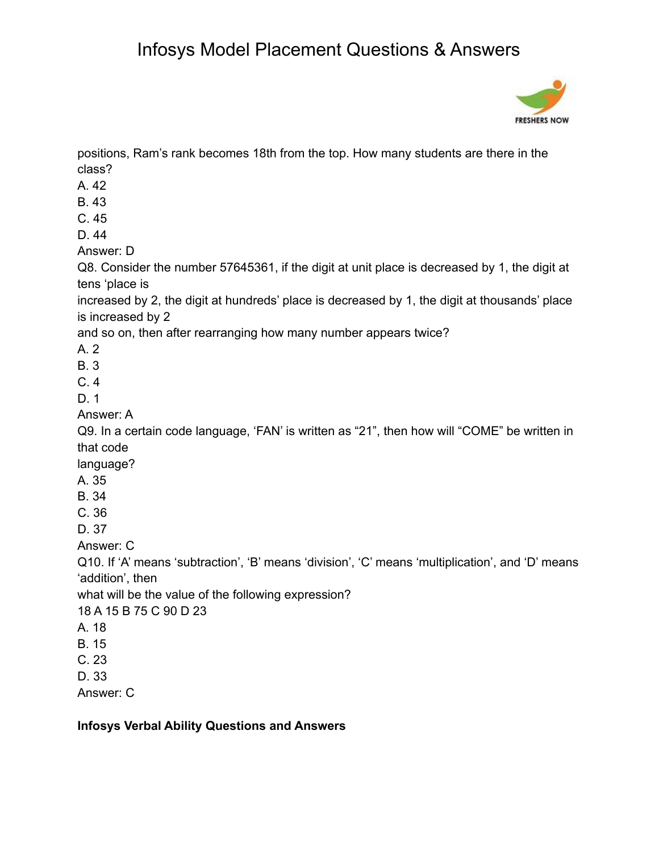

positions, Ram's rank becomes 18th from the top. How many students are there in the class?

- A. 42
- B. 43
- C. 45
- D. 44

Answer: D

Q8. Consider the number 57645361, if the digit at unit place is decreased by 1, the digit at tens 'place is

increased by 2, the digit at hundreds' place is decreased by 1, the digit at thousands' place is increased by 2

and so on, then after rearranging how many number appears twice?

A. 2

- B. 3
- C. 4

D. 1

Answer: A

Q9. In a certain code language, 'FAN' is written as "21", then how will "COME" be written in that code

language?

- A. 35
- B. 34
- C. 36
- D. 37

Answer: C

Q10. If 'A' means 'subtraction', 'B' means 'division', 'C' means 'multiplication', and 'D' means 'addition', then

what will be the value of the following expression?

18 A 15 B 75 C 90 D 23

- A. 18
- B. 15
- C. 23
- D. 33

Answer: C

**Infosys Verbal Ability Questions and Answers**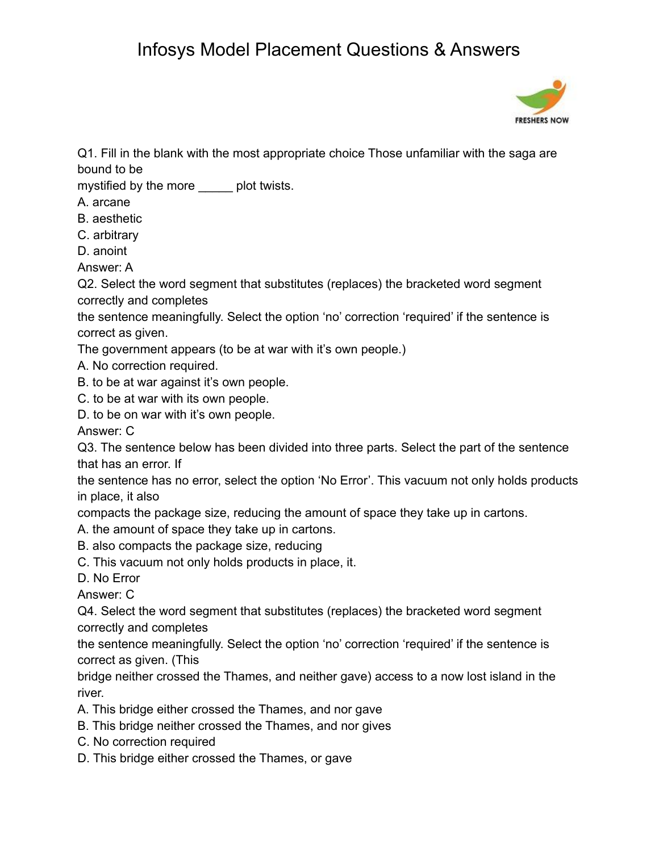

Q1. Fill in the blank with the most appropriate choice Those unfamiliar with the saga are bound to be

mystified by the more \_\_\_\_\_ plot twists.

A. arcane

B. aesthetic

C. arbitrary

D. anoint

Answer: A

Q2. Select the word segment that substitutes (replaces) the bracketed word segment correctly and completes

the sentence meaningfully. Select the option 'no' correction 'required' if the sentence is correct as given.

The government appears (to be at war with it's own people.)

- A. No correction required.
- B. to be at war against it's own people.
- C. to be at war with its own people.
- D. to be on war with it's own people.

Answer: C

Q3. The sentence below has been divided into three parts. Select the part of the sentence that has an error. If

the sentence has no error, select the option 'No Error'. This vacuum not only holds products in place, it also

compacts the package size, reducing the amount of space they take up in cartons.

A. the amount of space they take up in cartons.

B. also compacts the package size, reducing

C. This vacuum not only holds products in place, it.

D. No Error

Answer: C

Q4. Select the word segment that substitutes (replaces) the bracketed word segment correctly and completes

the sentence meaningfully. Select the option 'no' correction 'required' if the sentence is correct as given. (This

bridge neither crossed the Thames, and neither gave) access to a now lost island in the river.

- A. This bridge either crossed the Thames, and nor gave
- B. This bridge neither crossed the Thames, and nor gives
- C. No correction required
- D. This bridge either crossed the Thames, or gave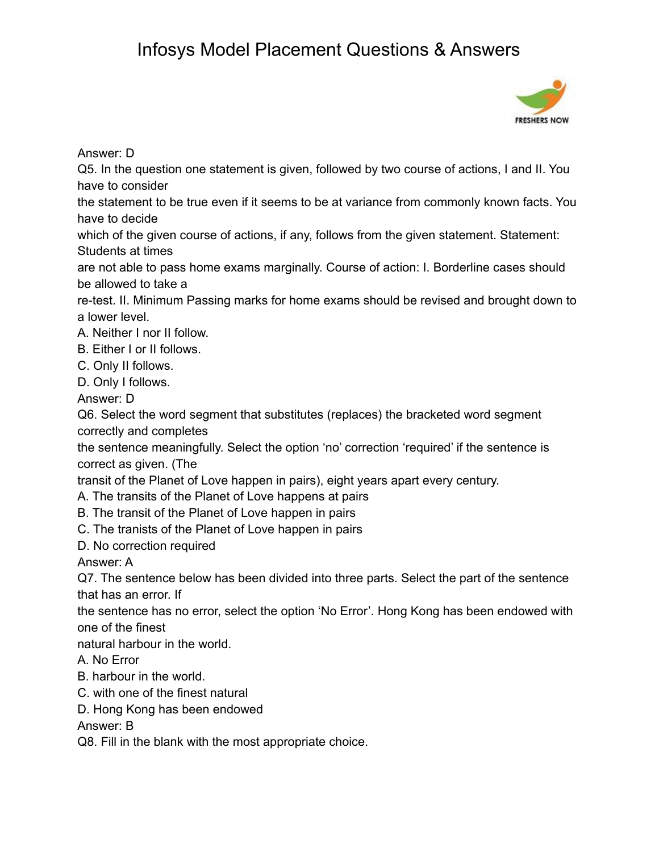

Answer: D

Q5. In the question one statement is given, followed by two course of actions, I and II. You have to consider

the statement to be true even if it seems to be at variance from commonly known facts. You have to decide

which of the given course of actions, if any, follows from the given statement. Statement: Students at times

are not able to pass home exams marginally. Course of action: I. Borderline cases should be allowed to take a

re-test. II. Minimum Passing marks for home exams should be revised and brought down to a lower level.

A. Neither I nor II follow.

B. Either I or II follows.

- C. Only II follows.
- D. Only I follows.

Answer: D

Q6. Select the word segment that substitutes (replaces) the bracketed word segment correctly and completes

the sentence meaningfully. Select the option 'no' correction 'required' if the sentence is correct as given. (The

transit of the Planet of Love happen in pairs), eight years apart every century.

- A. The transits of the Planet of Love happens at pairs
- B. The transit of the Planet of Love happen in pairs
- C. The tranists of the Planet of Love happen in pairs
- D. No correction required

Answer: A

Q7. The sentence below has been divided into three parts. Select the part of the sentence that has an error. If

the sentence has no error, select the option 'No Error'. Hong Kong has been endowed with one of the finest

natural harbour in the world.

A. No Error

- B. harbour in the world.
- C. with one of the finest natural
- D. Hong Kong has been endowed

Answer: B

Q8. Fill in the blank with the most appropriate choice.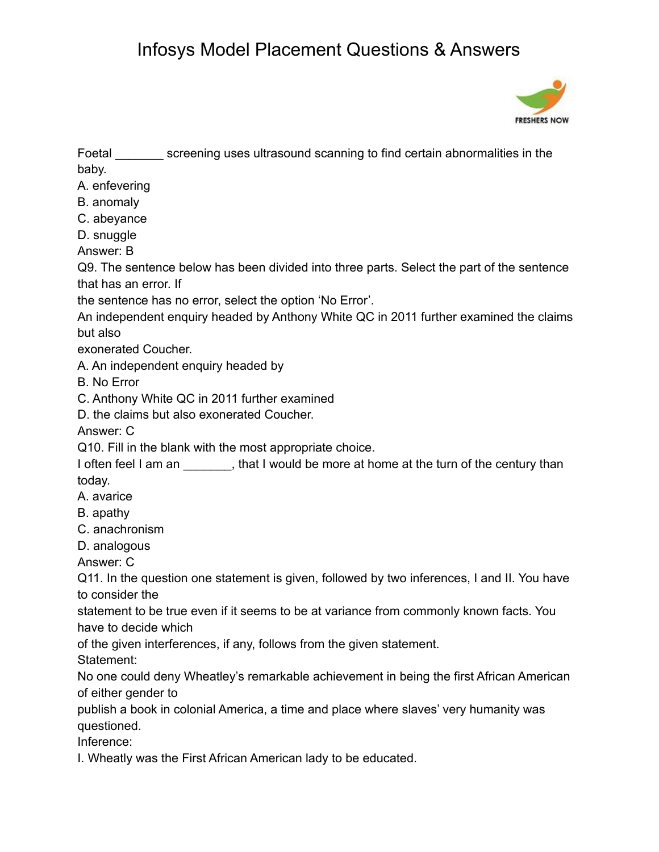

Foetal \_\_\_\_\_\_\_ screening uses ultrasound scanning to find certain abnormalities in the baby.

A. enfevering

B. anomaly

- C. abeyance
- D. snuggle

Answer: B

Q9. The sentence below has been divided into three parts. Select the part of the sentence that has an error. If

the sentence has no error, select the option 'No Error'.

An independent enquiry headed by Anthony White QC in 2011 further examined the claims but also

exonerated Coucher.

A. An independent enquiry headed by

B. No Error

- C. Anthony White QC in 2011 further examined
- D. the claims but also exonerated Coucher.

Answer: C

Q10. Fill in the blank with the most appropriate choice.

I often feel I am an  $\qquad \qquad$ , that I would be more at home at the turn of the century than today.

- A. avarice
- B. apathy
- C. anachronism
- D. analogous

Answer: C

Q11. In the question one statement is given, followed by two inferences, I and II. You have to consider the

statement to be true even if it seems to be at variance from commonly known facts. You have to decide which

of the given interferences, if any, follows from the given statement.

Statement:

No one could deny Wheatley's remarkable achievement in being the first African American of either gender to

publish a book in colonial America, a time and place where slaves' very humanity was questioned.

Inference:

I. Wheatly was the First African American lady to be educated.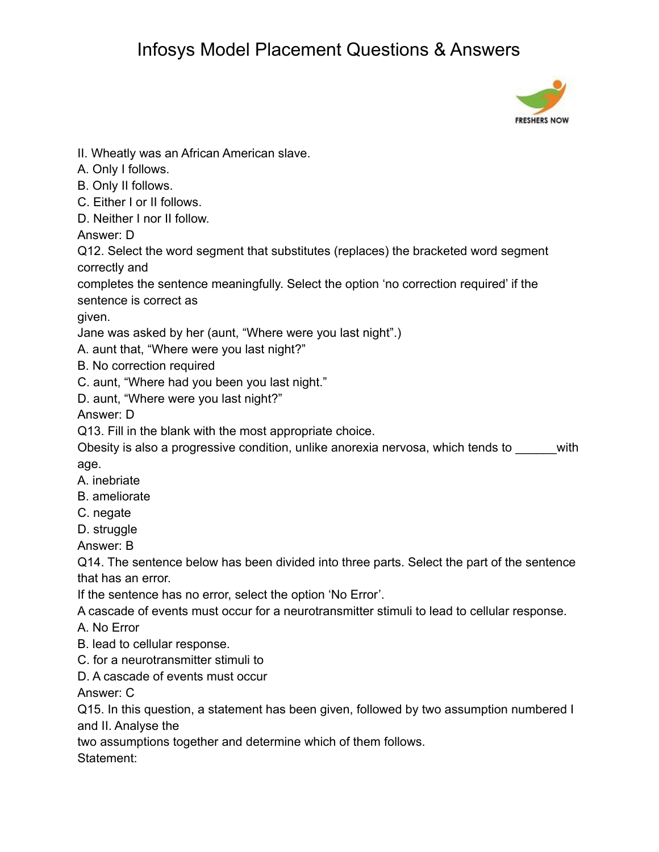

II. Wheatly was an African American slave.

- A. Only I follows.
- B. Only II follows.
- C. Either I or II follows.
- D. Neither I nor II follow.

Answer: D

Q12. Select the word segment that substitutes (replaces) the bracketed word segment correctly and

completes the sentence meaningfully. Select the option 'no correction required' if the sentence is correct as

given.

Jane was asked by her (aunt, "Where were you last night".)

A. aunt that, "Where were you last night?"

B. No correction required

C. aunt, "Where had you been you last night."

D. aunt, "Where were you last night?"

Answer: D

Q13. Fill in the blank with the most appropriate choice.

Obesity is also a progressive condition, unlike anorexia nervosa, which tends to \_\_\_\_\_\_with age.

A. inebriate

- B. ameliorate
- C. negate

D. struggle

Answer: B

Q14. The sentence below has been divided into three parts. Select the part of the sentence that has an error.

If the sentence has no error, select the option 'No Error'.

A cascade of events must occur for a neurotransmitter stimuli to lead to cellular response.

A. No Error

- B. lead to cellular response.
- C. for a neurotransmitter stimuli to
- D. A cascade of events must occur

Answer: C

Q15. In this question, a statement has been given, followed by two assumption numbered I and II. Analyse the

two assumptions together and determine which of them follows.

Statement: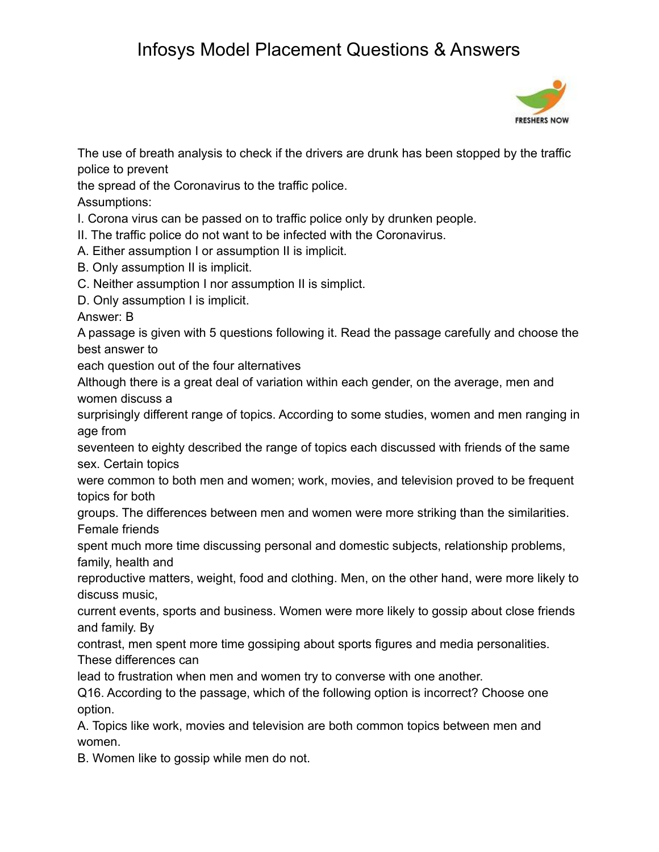

The use of breath analysis to check if the drivers are drunk has been stopped by the traffic police to prevent

the spread of the Coronavirus to the traffic police.

Assumptions:

I. Corona virus can be passed on to traffic police only by drunken people.

II. The traffic police do not want to be infected with the Coronavirus.

A. Either assumption I or assumption II is implicit.

- B. Only assumption II is implicit.
- C. Neither assumption I nor assumption II is simplict.

D. Only assumption I is implicit.

Answer: B

A passage is given with 5 questions following it. Read the passage carefully and choose the best answer to

each question out of the four alternatives

Although there is a great deal of variation within each gender, on the average, men and women discuss a

surprisingly different range of topics. According to some studies, women and men ranging in age from

seventeen to eighty described the range of topics each discussed with friends of the same sex. Certain topics

were common to both men and women; work, movies, and television proved to be frequent topics for both

groups. The differences between men and women were more striking than the similarities. Female friends

spent much more time discussing personal and domestic subjects, relationship problems, family, health and

reproductive matters, weight, food and clothing. Men, on the other hand, were more likely to discuss music,

current events, sports and business. Women were more likely to gossip about close friends and family. By

contrast, men spent more time gossiping about sports figures and media personalities.

These differences can

lead to frustration when men and women try to converse with one another.

Q16. According to the passage, which of the following option is incorrect? Choose one option.

A. Topics like work, movies and television are both common topics between men and women.

B. Women like to gossip while men do not.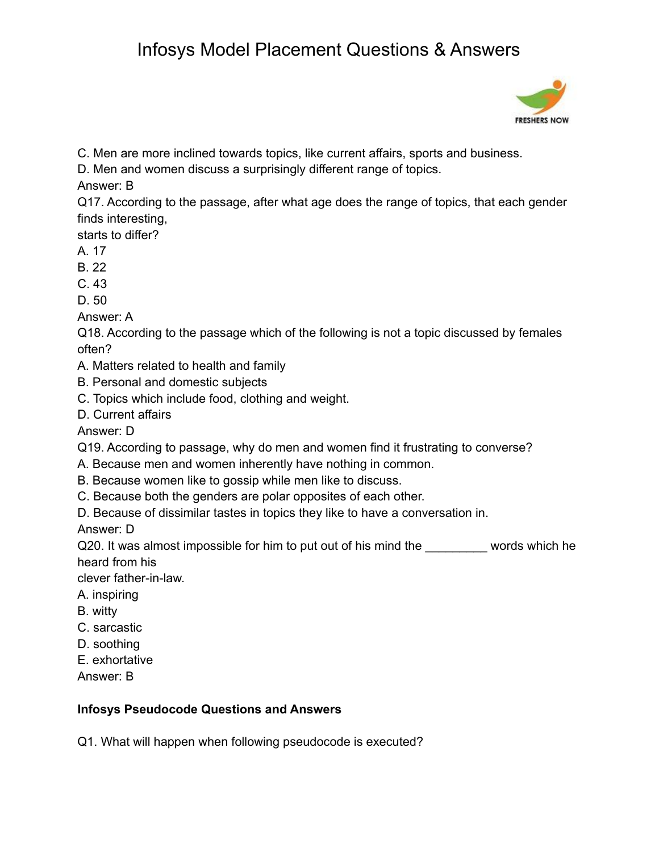

C. Men are more inclined towards topics, like current affairs, sports and business.

D. Men and women discuss a surprisingly different range of topics.

Answer: B

Q17. According to the passage, after what age does the range of topics, that each gender finds interesting,

starts to differ?

A. 17

- B. 22
- C. 43

D. 50

Answer: A

Q18. According to the passage which of the following is not a topic discussed by females often?

A. Matters related to health and family

- B. Personal and domestic subjects
- C. Topics which include food, clothing and weight.
- D. Current affairs

Answer: D

Q19. According to passage, why do men and women find it frustrating to converse?

- A. Because men and women inherently have nothing in common.
- B. Because women like to gossip while men like to discuss.
- C. Because both the genders are polar opposites of each other.

D. Because of dissimilar tastes in topics they like to have a conversation in.

Answer: D

Q20. It was almost impossible for him to put out of his mind the words which he heard from his

clever father-in-law.

- A. inspiring
- B. witty
- C. sarcastic
- D. soothing
- E. exhortative
- Answer: B

### **Infosys Pseudocode Questions and Answers**

Q1. What will happen when following pseudocode is executed?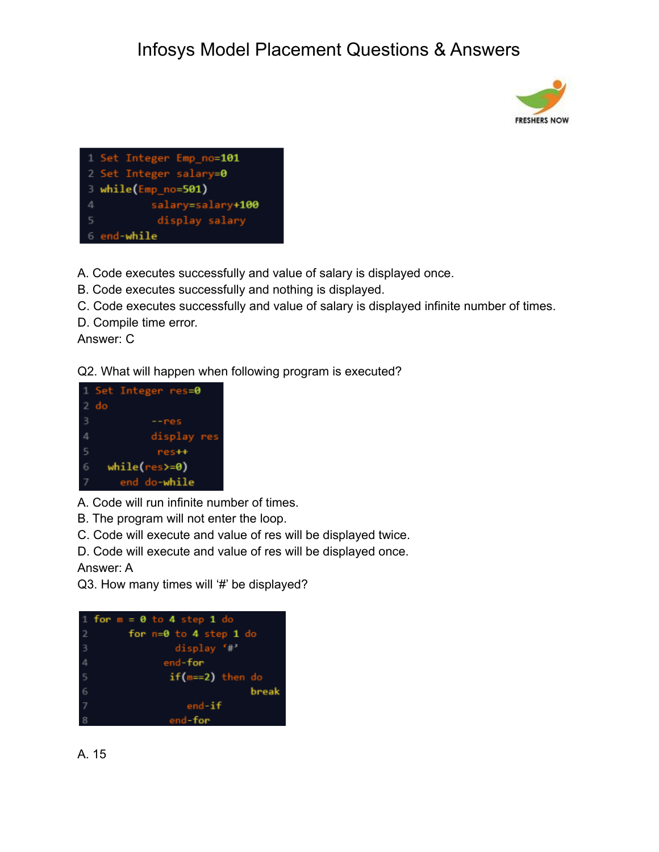



A. Code executes successfully and value of salary is displayed once.

B. Code executes successfully and nothing is displayed.

C. Code executes successfully and value of salary is displayed infinite number of times.

D. Compile time error.

Answer: C

Q2. What will happen when following program is executed?



A. Code will run infinite number of times.

B. The program will not enter the loop.

C. Code will execute and value of res will be displayed twice.

D. Code will execute and value of res will be displayed once.

Answer: A

Q3. How many times will '#' be displayed?